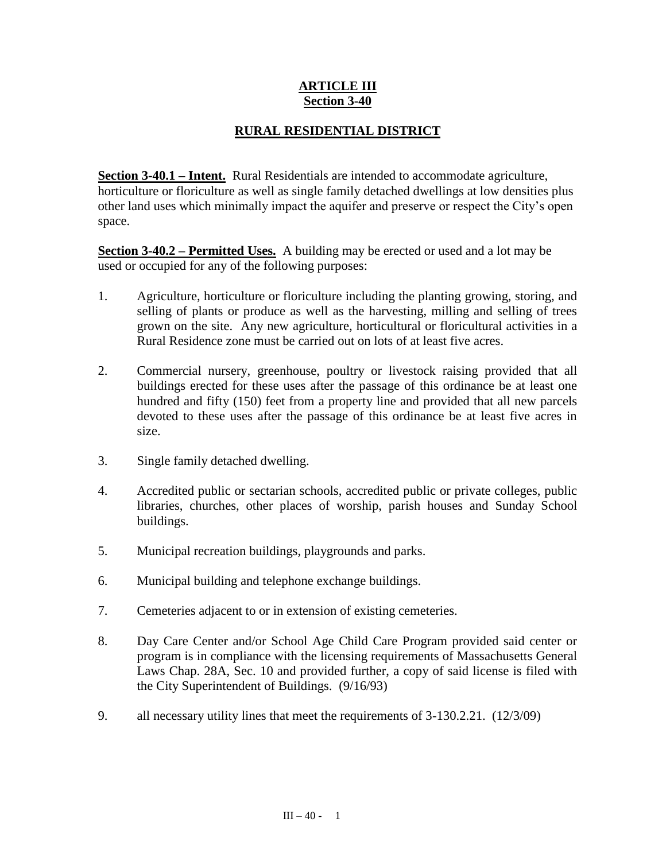## **ARTICLE III Section 3-40**

## **RURAL RESIDENTIAL DISTRICT**

**Section 3-40.1 – Intent.** Rural Residentials are intended to accommodate agriculture, horticulture or floriculture as well as single family detached dwellings at low densities plus other land uses which minimally impact the aquifer and preserve or respect the City's open space.

**Section 3-40.2 – Permitted Uses.** A building may be erected or used and a lot may be used or occupied for any of the following purposes:

- 1. Agriculture, horticulture or floriculture including the planting growing, storing, and selling of plants or produce as well as the harvesting, milling and selling of trees grown on the site. Any new agriculture, horticultural or floricultural activities in a Rural Residence zone must be carried out on lots of at least five acres.
- 2. Commercial nursery, greenhouse, poultry or livestock raising provided that all buildings erected for these uses after the passage of this ordinance be at least one hundred and fifty (150) feet from a property line and provided that all new parcels devoted to these uses after the passage of this ordinance be at least five acres in size.
- 3. Single family detached dwelling.
- 4. Accredited public or sectarian schools, accredited public or private colleges, public libraries, churches, other places of worship, parish houses and Sunday School buildings.
- 5. Municipal recreation buildings, playgrounds and parks.
- 6. Municipal building and telephone exchange buildings.
- 7. Cemeteries adjacent to or in extension of existing cemeteries.
- 8. Day Care Center and/or School Age Child Care Program provided said center or program is in compliance with the licensing requirements of Massachusetts General Laws Chap. 28A, Sec. 10 and provided further, a copy of said license is filed with the City Superintendent of Buildings. (9/16/93)
- 9. all necessary utility lines that meet the requirements of 3-130.2.21. (12/3/09)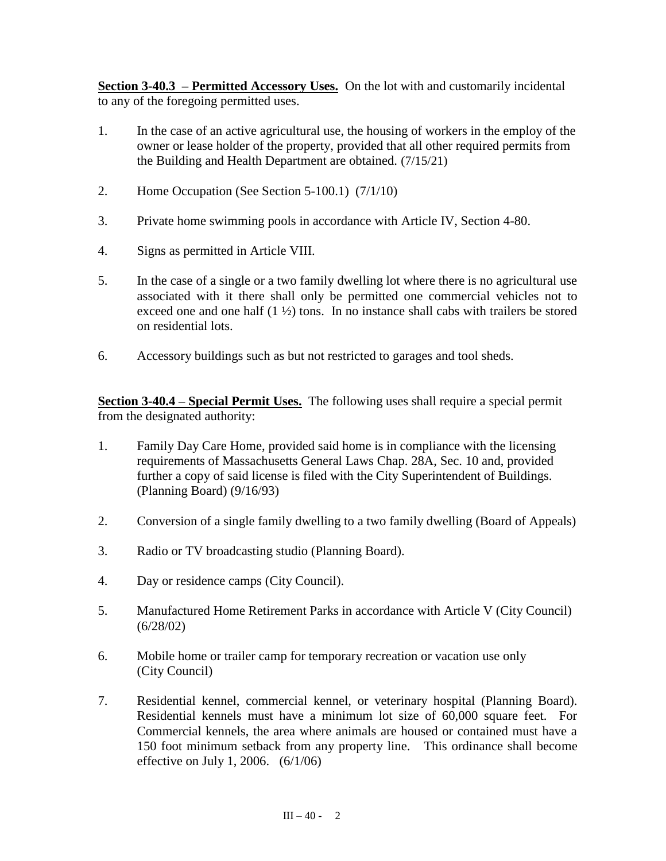**Section 3-40.3 – Permitted Accessory Uses.** On the lot with and customarily incidental to any of the foregoing permitted uses.

- 1. In the case of an active agricultural use, the housing of workers in the employ of the owner or lease holder of the property, provided that all other required permits from the Building and Health Department are obtained. (7/15/21)
- 2. Home Occupation (See Section 5-100.1) (7/1/10)
- 3. Private home swimming pools in accordance with Article IV, Section 4-80.
- 4. Signs as permitted in Article VIII.
- 5. In the case of a single or a two family dwelling lot where there is no agricultural use associated with it there shall only be permitted one commercial vehicles not to exceed one and one half  $(1 \frac{1}{2})$  tons. In no instance shall cabs with trailers be stored on residential lots.
- 6. Accessory buildings such as but not restricted to garages and tool sheds.

**Section 3-40.4 – Special Permit Uses.** The following uses shall require a special permit from the designated authority:

- 1. Family Day Care Home, provided said home is in compliance with the licensing requirements of Massachusetts General Laws Chap. 28A, Sec. 10 and, provided further a copy of said license is filed with the City Superintendent of Buildings. (Planning Board) (9/16/93)
- 2. Conversion of a single family dwelling to a two family dwelling (Board of Appeals)
- 3. Radio or TV broadcasting studio (Planning Board).
- 4. Day or residence camps (City Council).
- 5. Manufactured Home Retirement Parks in accordance with Article V (City Council) (6/28/02)
- 6. Mobile home or trailer camp for temporary recreation or vacation use only (City Council)
- 7. Residential kennel, commercial kennel, or veterinary hospital (Planning Board). Residential kennels must have a minimum lot size of 60,000 square feet. For Commercial kennels, the area where animals are housed or contained must have a 150 foot minimum setback from any property line. This ordinance shall become effective on July 1, 2006. (6/1/06)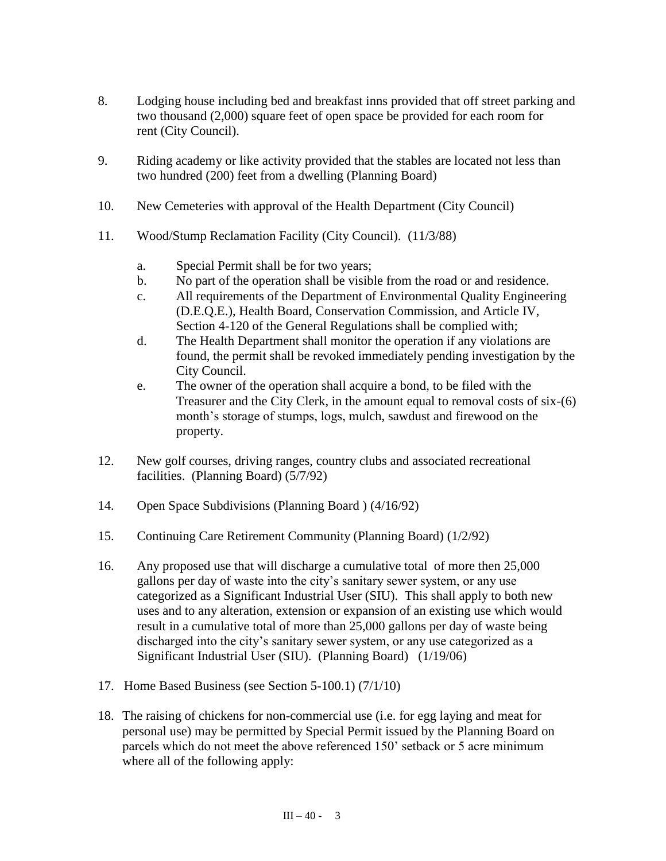- 8. Lodging house including bed and breakfast inns provided that off street parking and two thousand (2,000) square feet of open space be provided for each room for rent (City Council).
- 9. Riding academy or like activity provided that the stables are located not less than two hundred (200) feet from a dwelling (Planning Board)
- 10. New Cemeteries with approval of the Health Department (City Council)
- 11. Wood/Stump Reclamation Facility (City Council). (11/3/88)
	- a. Special Permit shall be for two years;
	- b. No part of the operation shall be visible from the road or and residence.
	- c. All requirements of the Department of Environmental Quality Engineering (D.E.Q.E.), Health Board, Conservation Commission, and Article IV, Section 4-120 of the General Regulations shall be complied with;
	- d. The Health Department shall monitor the operation if any violations are found, the permit shall be revoked immediately pending investigation by the City Council.
	- e. The owner of the operation shall acquire a bond, to be filed with the Treasurer and the City Clerk, in the amount equal to removal costs of six-(6) month's storage of stumps, logs, mulch, sawdust and firewood on the property.
- 12. New golf courses, driving ranges, country clubs and associated recreational facilities. (Planning Board) (5/7/92)
- 14. Open Space Subdivisions (Planning Board ) (4/16/92)
- 15. Continuing Care Retirement Community (Planning Board) (1/2/92)
- 16. Any proposed use that will discharge a cumulative total of more then 25,000 gallons per day of waste into the city's sanitary sewer system, or any use categorized as a Significant Industrial User (SIU). This shall apply to both new uses and to any alteration, extension or expansion of an existing use which would result in a cumulative total of more than 25,000 gallons per day of waste being discharged into the city's sanitary sewer system, or any use categorized as a Significant Industrial User (SIU). (Planning Board) (1/19/06)
- 17. Home Based Business (see Section 5-100.1) (7/1/10)
- 18. The raising of chickens for non-commercial use (i.e. for egg laying and meat for personal use) may be permitted by Special Permit issued by the Planning Board on parcels which do not meet the above referenced 150' setback or 5 acre minimum where all of the following apply: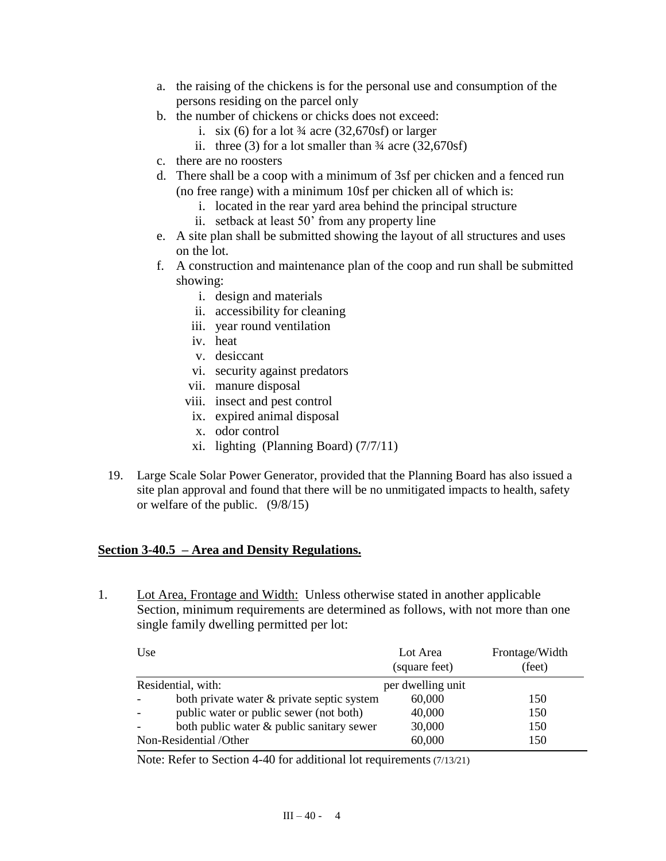- a. the raising of the chickens is for the personal use and consumption of the persons residing on the parcel only
- b. the number of chickens or chicks does not exceed:
	- i. six (6) for a lot  $\frac{3}{4}$  acre (32,670sf) or larger
	- ii. three (3) for a lot smaller than  $\frac{3}{4}$  acre (32,670sf)
- c. there are no roosters
- d. There shall be a coop with a minimum of 3sf per chicken and a fenced run (no free range) with a minimum 10sf per chicken all of which is:
	- i. located in the rear yard area behind the principal structure
	- ii. setback at least 50' from any property line
- e. A site plan shall be submitted showing the layout of all structures and uses on the lot.
- f. A construction and maintenance plan of the coop and run shall be submitted showing:
	- i. design and materials
	- ii. accessibility for cleaning
	- iii. year round ventilation
	- iv. heat
	- v. desiccant
	- vi. security against predators
	- vii. manure disposal
	- viii. insect and pest control
	- ix. expired animal disposal
	- x. odor control
	- xi. lighting (Planning Board) (7/7/11)
- 19. Large Scale Solar Power Generator, provided that the Planning Board has also issued a site plan approval and found that there will be no unmitigated impacts to health, safety or welfare of the public. (9/8/15)

## **Section 3-40.5 – Area and Density Regulations.**

1. Lot Area, Frontage and Width: Unless otherwise stated in another applicable Section, minimum requirements are determined as follows, with not more than one single family dwelling permitted per lot:

| Use                    |                                            | Lot Area<br>(square feet) | Frontage/Width<br>(feet) |
|------------------------|--------------------------------------------|---------------------------|--------------------------|
| Residential, with:     |                                            | per dwelling unit         |                          |
|                        | both private water & private septic system | 60,000                    | 150                      |
|                        | public water or public sewer (not both)    | 40,000                    | 150                      |
|                        | both public water & public sanitary sewer  | 30,000                    | 150                      |
| Non-Residential /Other |                                            | 60,000                    | 150                      |

Note: Refer to Section 4-40 for additional lot requirements (7/13/21)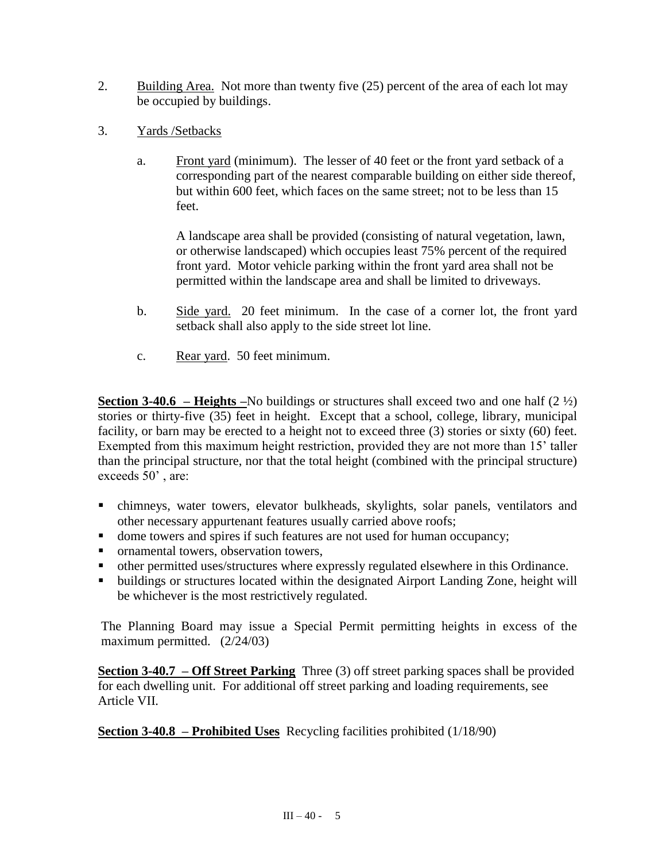- 2. Building Area. Not more than twenty five (25) percent of the area of each lot may be occupied by buildings.
- 3. Yards /Setbacks
	- a. Front yard (minimum). The lesser of 40 feet or the front yard setback of a corresponding part of the nearest comparable building on either side thereof, but within 600 feet, which faces on the same street; not to be less than 15 feet.

A landscape area shall be provided (consisting of natural vegetation, lawn, or otherwise landscaped) which occupies least 75% percent of the required front yard. Motor vehicle parking within the front yard area shall not be permitted within the landscape area and shall be limited to driveways.

- b. Side yard. 20 feet minimum. In the case of a corner lot, the front yard setback shall also apply to the side street lot line.
- c. Rear yard. 50 feet minimum.

**Section 3-40.6 – Heights –**No buildings or structures shall exceed two and one half (2 ½) stories or thirty-five (35) feet in height. Except that a school, college, library, municipal facility, or barn may be erected to a height not to exceed three (3) stories or sixty (60) feet. Exempted from this maximum height restriction, provided they are not more than 15' taller than the principal structure, nor that the total height (combined with the principal structure) exceeds 50' , are:

- chimneys, water towers, elevator bulkheads, skylights, solar panels, ventilators and other necessary appurtenant features usually carried above roofs;
- dome towers and spires if such features are not used for human occupancy;
- ornamental towers, observation towers,
- other permitted uses/structures where expressly regulated elsewhere in this Ordinance.
- buildings or structures located within the designated Airport Landing Zone, height will be whichever is the most restrictively regulated.

The Planning Board may issue a Special Permit permitting heights in excess of the maximum permitted. (2/24/03)

**Section 3-40.7 – Off Street Parking** Three (3) off street parking spaces shall be provided for each dwelling unit. For additional off street parking and loading requirements, see Article VII.

**Section 3-40.8 – Prohibited Uses** Recycling facilities prohibited (1/18/90)